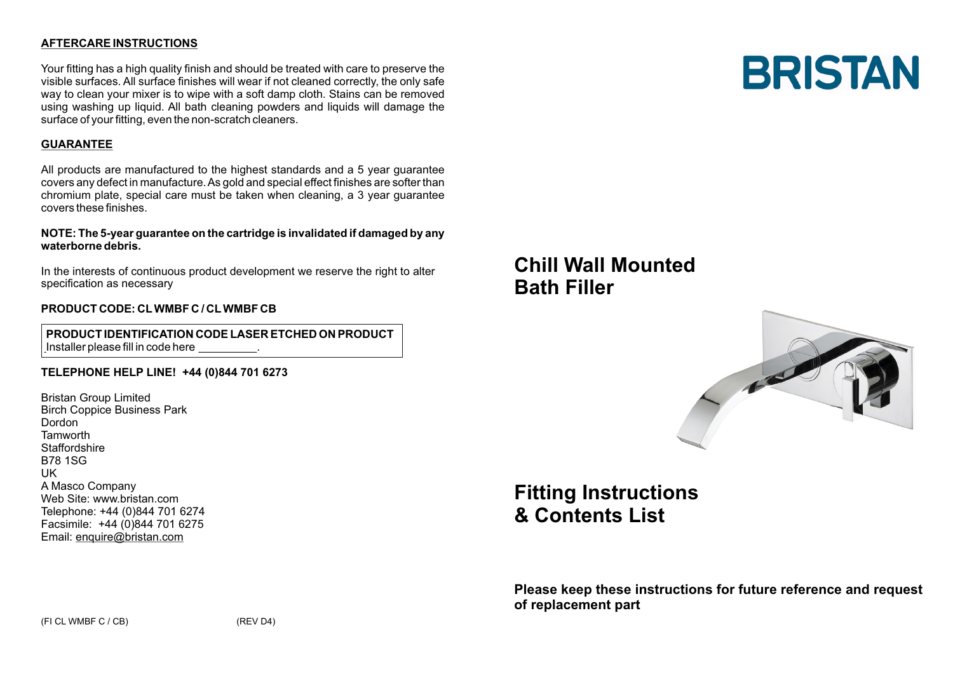# **AFTERCARE INSTRUCTIONS**

Your fitting has a high quality finish and should be treated with care to preserve the visible surfaces. All surface finishes will wear if not cleaned correctly, the only safe way to clean your mixer is to wipe with a soft damp cloth. Stains can be removed using washing up liquid. All bath cleaning powders and liquids will damage the surface of your fitting, even the non-scratch cleaners.

## **GUARANTEE**

All products are manufactured to the highest standards and a 5 year guarantee covers any defect in manufacture. As gold and special effect finishes are softer than chromium plate, special care must be taken when cleaning, a 3 year guarantee covers these finishes.

#### **NOTE: The 5-year guarantee on the cartridge is invalidated if damaged by any waterborne debris.**

In the interests of continuous product development we reserve the right to alter specification as necessary

### **PRODUCT CODE: CLWMBF C / CLWMBF CB**

 **PRODUCT IDENTIFICATION CODE LASER ETCHED ON PRODUCT** Installer please fill in code here \_\_\_\_\_\_\_\_\_.

### **TELEPHONE HELP LINE! +44 (0)844 701 6273**

Bristan Group Limited Birch Coppice Business Park Dordon **Tamworth Staffordshire** B78 1SG UK A Masco Company Web Site: www.bristan.com Telephone: +44 (0)844 701 6274 Facsimile: +44 (0)844 701 6275 Email: enquire@bristan.com

# **Chill Wall Mounted Bath Filler**



# **Fitting Instructions & Contents List**

**Please keep these instructions for future reference and request of replacement part**